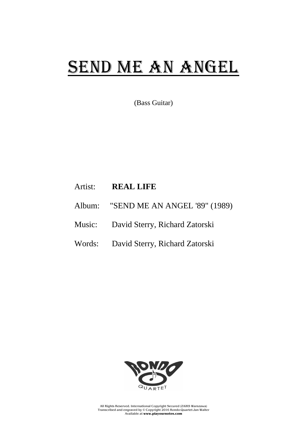## SEND ME AN ANGEL

(Bass Guitar)

## Artist: **REAL LIFE**

- Album: "SEND ME AN ANGEL '89" (1989)
- Music: David Sterry, Richard Zatorski
- Words: David Sterry, Richard Zatorski



All Rights Reserved. International Copyright Secured (ZAiKS Warszawa) Transcribed and engraved by © Copyright 2016 Rondo-Quartet-Jan Walter Available at **www.playournotes.com**